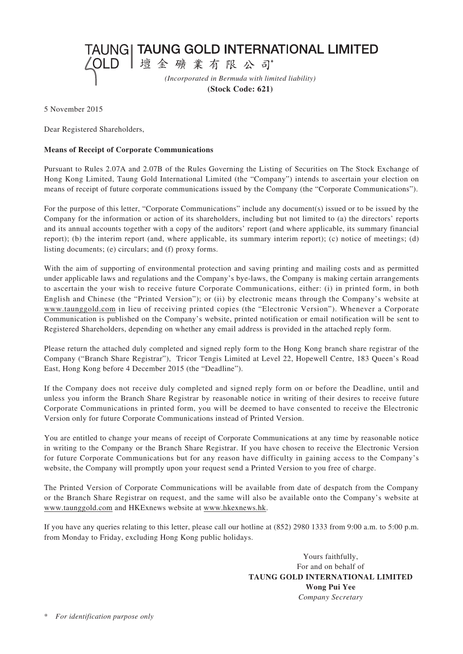△OLD |壇金礦業有限公司 *(Incorporated in Bermuda with limited liability)*

TAUNG| TAUNG GOLD INTERNATIONAL LIMITED

**(Stock Code: 621)**

5 November 2015

Dear Registered Shareholders,

## **Means of Receipt of Corporate Communications**

Pursuant to Rules 2.07A and 2.07B of the Rules Governing the Listing of Securities on The Stock Exchange of Hong Kong Limited, Taung Gold International Limited (the "Company") intends to ascertain your election on means of receipt of future corporate communications issued by the Company (the "Corporate Communications").

For the purpose of this letter, "Corporate Communications" include any document(s) issued or to be issued by the Company for the information or action of its shareholders, including but not limited to (a) the directors' reports and its annual accounts together with a copy of the auditors' report (and where applicable, its summary financial report); (b) the interim report (and, where applicable, its summary interim report); (c) notice of meetings; (d) listing documents; (e) circulars; and (f) proxy forms.

With the aim of supporting of environmental protection and saving printing and mailing costs and as permitted under applicable laws and regulations and the Company's bye-laws, the Company is making certain arrangements to ascertain the your wish to receive future Corporate Communications, either: (i) in printed form, in both English and Chinese (the "Printed Version"); or (ii) by electronic means through the Company's website at www.taunggold.com in lieu of receiving printed copies (the "Electronic Version"). Whenever a Corporate Communication is published on the Company's website, printed notification or email notification will be sent to Registered Shareholders, depending on whether any email address is provided in the attached reply form.

Please return the attached duly completed and signed reply form to the Hong Kong branch share registrar of the Company ("Branch Share Registrar"), Tricor Tengis Limited at Level 22, Hopewell Centre, 183 Queen's Road East, Hong Kong before 4 December 2015 (the "Deadline").

If the Company does not receive duly completed and signed reply form on or before the Deadline, until and unless you inform the Branch Share Registrar by reasonable notice in writing of their desires to receive future Corporate Communications in printed form, you will be deemed to have consented to receive the Electronic Version only for future Corporate Communications instead of Printed Version.

You are entitled to change your means of receipt of Corporate Communications at any time by reasonable notice in writing to the Company or the Branch Share Registrar. If you have chosen to receive the Electronic Version for future Corporate Communications but for any reason have difficulty in gaining access to the Company's website, the Company will promptly upon your request send a Printed Version to you free of charge.

The Printed Version of Corporate Communications will be available from date of despatch from the Company or the Branch Share Registrar on request, and the same will also be available onto the Company's website at www.taunggold.com and HKExnews website at www.hkexnews.hk.

If you have any queries relating to this letter, please call our hotline at (852) 2980 1333 from 9:00 a.m. to 5:00 p.m. from Monday to Friday, excluding Hong Kong public holidays.

> Yours faithfully, For and on behalf of **TAUNG GOLD INTERNATIONAL LIMITED Wong Pui Yee** *Company Secretary*